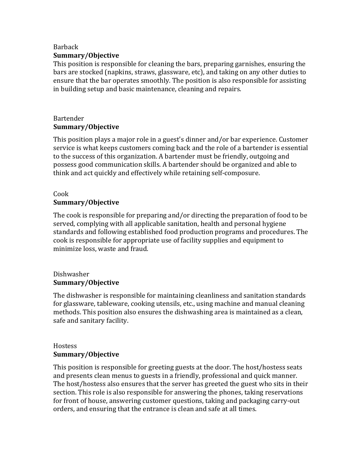## Barback **Summary/Objective**

This position is responsible for cleaning the bars, preparing garnishes, ensuring the bars are stocked (napkins, straws, glassware, etc), and taking on any other duties to ensure that the bar operates smoothly. The position is also responsible for assisting in building setup and basic maintenance, cleaning and repairs.

# Bartender **Summary/Objective**

This position plays a major role in a guest's dinner and/or bar experience. Customer service is what keeps customers coming back and the role of a bartender is essential to the success of this organization. A bartender must be friendly, outgoing and possess good communication skills. A bartender should be organized and able to think and act quickly and effectively while retaining self-composure.

#### Cook **Summary/Objective**

The cook is responsible for preparing and/or directing the preparation of food to be served, complying with all applicable sanitation, health and personal hygiene standards and following established food production programs and procedures. The cook is responsible for appropriate use of facility supplies and equipment to minimize loss, waste and fraud.

## Dishwasher **Summary/Objective**

The dishwasher is responsible for maintaining cleanliness and sanitation standards for glassware, tableware, cooking utensils, etc., using machine and manual cleaning methods. This position also ensures the dishwashing area is maintained as a clean, safe and sanitary facility.

#### **Hostess Summary/Objective**

This position is responsible for greeting guests at the door. The host/hostess seats and presents clean menus to guests in a friendly, professional and quick manner. The host/hostess also ensures that the server has greeted the guest who sits in their section. This role is also responsible for answering the phones, taking reservations for front of house, answering customer questions, taking and packaging carry-out orders, and ensuring that the entrance is clean and safe at all times.